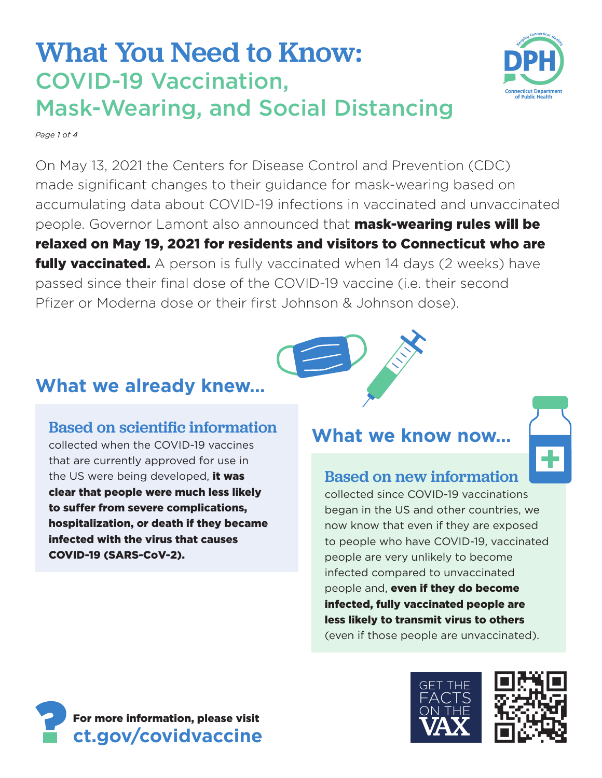# What You Need to Know: COVID-19 Vaccination, Mask-Wearing, and Social Distancing

*Page 1 of 4* 

On May 13, 2021 the Centers for Disease Control and Prevention (CDC) made significant changes to their guidance for mask-wearing based on accumulating data about COVID-19 infections in vaccinated and unvaccinated people. Governor Lamont also announced that **mask-wearing rules will be** relaxed on May 19, 2021 for residents and visitors to Connecticut who are **fully vaccinated.** A person is fully vaccinated when 14 days (2 weeks) have passed since their final dose of the COVID-19 vaccine (i.e. their second Pfizer or Moderna dose or their first Johnson & Johnson dose).

# **What we already knew…**

### Based on scientific information

collected when the COVID-19 vaccines that are currently approved for use in the US were being developed. it was clear that people were much less likely to suffer from severe complications, hospitalization, or death if they became infected with the virus that causes COVID-19 (SARS-CoV-2).

## **What we know now…**

### Based on new information

collected since COVID-19 vaccinations began in the US and other countries, we now know that even if they are exposed to people who have COVID-19, vaccinated people are very unlikely to become infected compared to unvaccinated people and, even if they do become infected, fully vaccinated people are less likely to transmit virus to others (even if those people are unvaccinated).









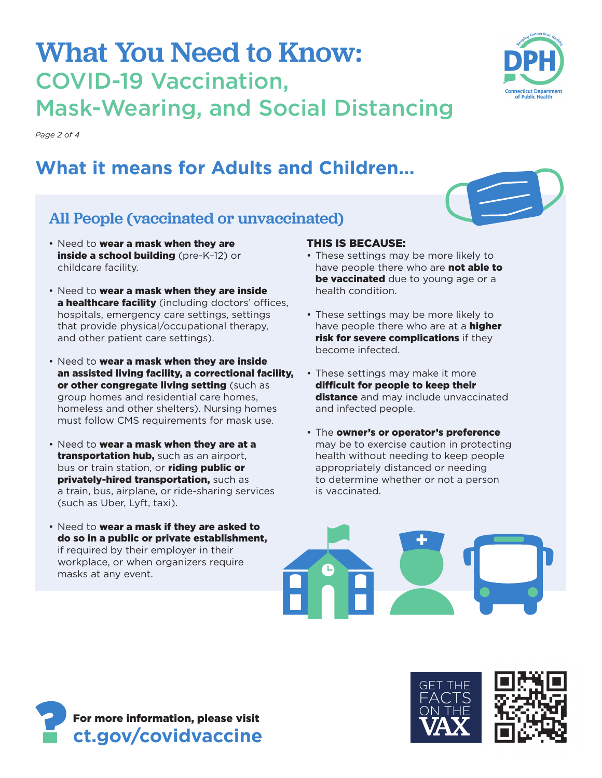- All People (vaccinated or unvaccinated) • Need to wear a mask when they are inside a school building (pre-K-12) or childcare facility. THIS IS BECAUSE:
	- Need to wear a mask when they are inside a healthcare facility (including doctors' offices, hospitals, emergency care settings, settings that provide physical/occupational therapy, and other patient care settings).
	- Need to wear a mask when they are inside an assisted living facility, a correctional facility, or other congregate living setting (such as group homes and residential care homes, homeless and other shelters). Nursing homes must follow CMS requirements for mask use.
	- Need to wear a mask when they are at a transportation hub, such as an airport, bus or train station, or riding public or privately-hired transportation, such as a train, bus, airplane, or ride-sharing services (such as Uber, Lyft, taxi).

#### do so in a public or private establishment, • Need to wear a mask if they are asked to if required by their employer in their workplace, or when organizers require masks at any event.

- These settings may be more likely to have people there who are not able to be vaccinated due to young age or a health condition.
- These settings may be more likely to have people there who are at a **higher** risk for severe complications if they become infected.
- These settings may make it more difficult for people to keep their distance and may include unvaccinated and infected people.
- The owner's or operator's preference may be to exercise caution in protecting health without needing to keep people appropriately distanced or needing to determine whether or not a person is vaccinated.

# What You Need to Know: COVID-19 Vaccination,

# Mask-Wearing, and Social Distancing

*Page 2 of 4* 

# **What it means for Adults and Children...**

For more information, please visit **[ct.gov/covidvaccine](https://ct.gov/covidvaccine)** 







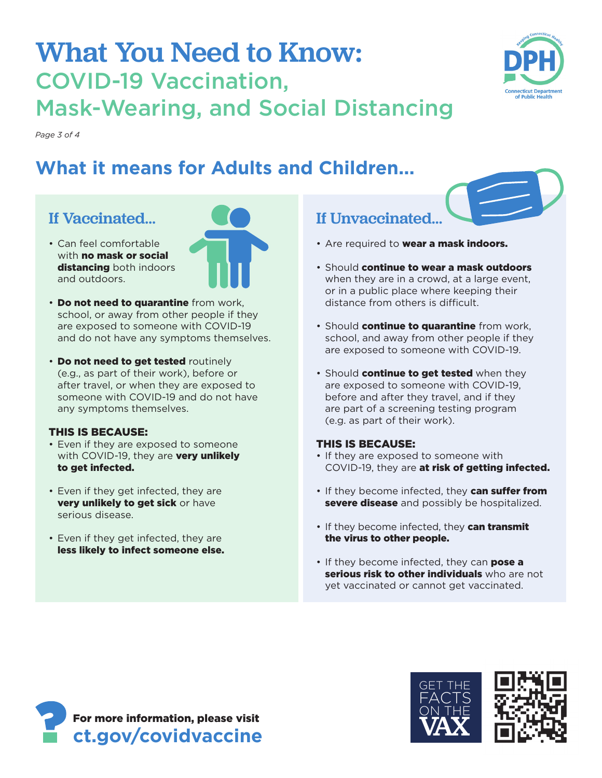# What You Need to Know: COVID-19 Vaccination, Mask-Wearing, and Social Distancing

*Page 3 of 4* 

# **What it means for Adults and Children...**

### If Vaccinated…

- Can feel comfortable with **no mask or social** distancing both indoors and outdoors.
- **Do not need to quarantine** from work, school, or away from other people if they are exposed to someone with COVID-19 and do not have any symptoms themselves.
- **Do not need to get tested routinely** (e.g., as part of their work), before or after travel, or when they are exposed to someone with COVID-19 and do not have any symptoms themselves.

#### THIS IS BECAUSE:

- Even if they are exposed to someone with COVID-19, they are very unlikely to get infected.
- Even if they get infected, they are very unlikely to get sick or have serious disease.
- Even if they get infected, they are less likely to infect someone else.

### If Unvaccinated…

- Are required to wear a mask indoors.
- Should continue to wear a mask outdoors when they are in a crowd, at a large event, or in a public place where keeping their distance from others is difficult.
- Should continue to quarantine from work, school, and away from other people if they are exposed to someone with COVID-19.
- Should continue to get tested when they are exposed to someone with COVID-19, before and after they travel, and if they are part of a screening testing program (e.g. as part of their work).

#### THIS IS BECAUSE:

- If they are exposed to someone with COVID-19, they are at risk of getting infected.
- If they become infected, they can suffer from severe disease and possibly be hospitalized.
- If they become infected, they can transmit the virus to other people.
- If they become infected, they can **pose a** serious risk to other individuals who are not yet vaccinated or cannot get vaccinated.